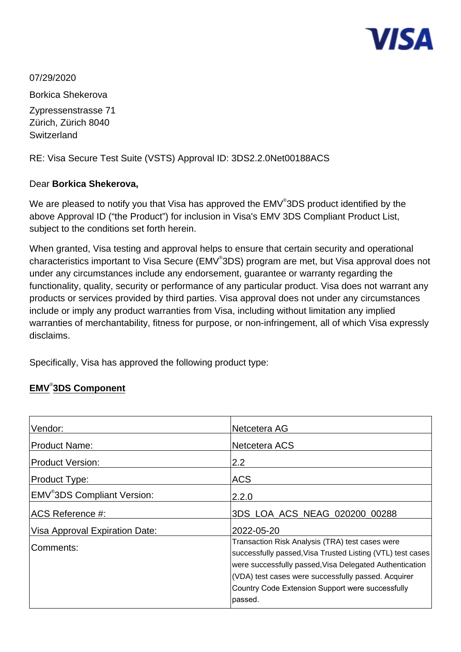

07/29/2020

Borkica Shekerova Zypressenstrasse 71 Zürich, Zürich 8040 **Switzerland** 

RE: Visa Secure Test Suite (VSTS) Approval ID: 3DS2.2.0Net00188ACS

#### Dear **Borkica Shekerova,**

We are pleased to notify you that Visa has approved the EMV $^\circ$ 3DS product identified by the above Approval ID ("the Product") for inclusion in Visa's EMV 3DS Compliant Product List, subject to the conditions set forth herein.

When granted, Visa testing and approval helps to ensure that certain security and operational characteristics important to Visa Secure (EMV<sup>®</sup>3DS) program are met, but Visa approval does not under any circumstances include any endorsement, guarantee or warranty regarding the functionality, quality, security or performance of any particular product. Visa does not warrant any products or services provided by third parties. Visa approval does not under any circumstances include or imply any product warranties from Visa, including without limitation any implied warranties of merchantability, fitness for purpose, or non-infringement, all of which Visa expressly disclaims.

Specifically, Visa has approved the following product type:

### **EMV**® **3DS Component**

| Vendor:                                 | Netcetera AG                                                                                                                                                                                                                                                                                   |
|-----------------------------------------|------------------------------------------------------------------------------------------------------------------------------------------------------------------------------------------------------------------------------------------------------------------------------------------------|
| <b>Product Name:</b>                    | Netcetera ACS                                                                                                                                                                                                                                                                                  |
| <b>Product Version:</b>                 | 2.2                                                                                                                                                                                                                                                                                            |
| Product Type:                           | <b>ACS</b>                                                                                                                                                                                                                                                                                     |
| EMV <sup>®</sup> 3DS Compliant Version: | 2.2.0                                                                                                                                                                                                                                                                                          |
| ACS Reference #:                        | 3DS LOA ACS NEAG 020200 00288                                                                                                                                                                                                                                                                  |
| Visa Approval Expiration Date:          | 2022-05-20                                                                                                                                                                                                                                                                                     |
| Comments:                               | Transaction Risk Analysis (TRA) test cases were<br>successfully passed, Visa Trusted Listing (VTL) test cases<br>were successfully passed, Visa Delegated Authentication<br>(VDA) test cases were successfully passed. Acquirer<br>Country Code Extension Support were successfully<br>passed. |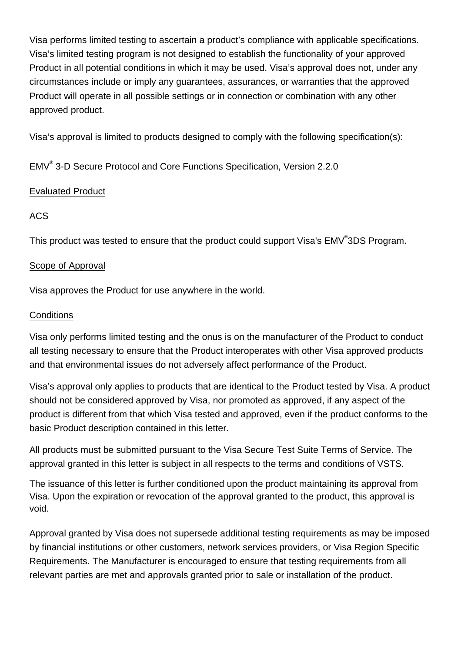Visa performs limited testing to ascertain a product's compliance with applicable specifications. Visa's limited testing program is not designed to establish the functionality of your approved Product in all potential conditions in which it may be used. Visa's approval does not, under any circumstances include or imply any guarantees, assurances, or warranties that the approved Product will operate in all possible settings or in connection or combination with any other approved product.

Visa's approval is limited to products designed to comply with the following specification(s):

EMV® 3-D Secure Protocol and Core Functions Specification, Version 2.2.0

## Evaluated Product

# ACS

This product was tested to ensure that the product could support Visa's EMV<sup>®</sup>3DS Program.

### Scope of Approval

Visa approves the Product for use anywhere in the world.

### **Conditions**

Visa only performs limited testing and the onus is on the manufacturer of the Product to conduct all testing necessary to ensure that the Product interoperates with other Visa approved products and that environmental issues do not adversely affect performance of the Product.

Visa's approval only applies to products that are identical to the Product tested by Visa. A product should not be considered approved by Visa, nor promoted as approved, if any aspect of the product is different from that which Visa tested and approved, even if the product conforms to the basic Product description contained in this letter.

All products must be submitted pursuant to the Visa Secure Test Suite Terms of Service. The approval granted in this letter is subject in all respects to the terms and conditions of VSTS.

The issuance of this letter is further conditioned upon the product maintaining its approval from Visa. Upon the expiration or revocation of the approval granted to the product, this approval is void.

Approval granted by Visa does not supersede additional testing requirements as may be imposed by financial institutions or other customers, network services providers, or Visa Region Specific Requirements. The Manufacturer is encouraged to ensure that testing requirements from all relevant parties are met and approvals granted prior to sale or installation of the product.